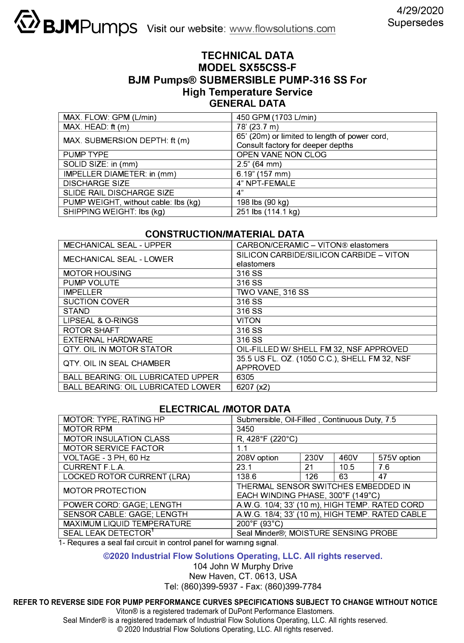# **TECHNICAL DATA MODEL SX55CSS-F BJM Pumps® SUBMERSIBLE PUMP-316 SS For High Temperature Service GENERAL DATA**

| MAX. FLOW: GPM (L/min)               | 450 GPM (1703 L/min)                          |
|--------------------------------------|-----------------------------------------------|
| $MAX$ . HEAD: ft $(m)$               | 78' (23.7 m)                                  |
| MAX. SUBMERSION DEPTH: ft (m)        | 65' (20m) or limited to length of power cord, |
|                                      | Consult factory for deeper depths             |
| PUMP TYPE                            | OPEN VANE NON CLOG                            |
| SOLID SIZE: in (mm)                  | $2.5$ " (64 mm)                               |
| IMPELLER DIAMETER: in (mm)           | $6.19$ " (157 mm)                             |
| <b>DISCHARGE SIZE</b>                | 4" NPT-FEMALE                                 |
| SLIDE RAIL DISCHARGE SIZE            | 4"                                            |
| PUMP WEIGHT, without cable: Ibs (kg) | 198 lbs (90 kg)                               |
| SHIPPING WEIGHT: Ibs (kg)            | 251 lbs (114.1 kg)                            |

# **CONSTRUCTION/MATERIAL DATA**

| <b>MECHANICAL SEAL - UPPER</b>            | CARBON/CERAMIC - VITON® elastomers            |  |  |
|-------------------------------------------|-----------------------------------------------|--|--|
| <b>MECHANICAL SEAL - LOWER</b>            | SILICON CARBIDE/SILICON CARBIDE - VITON       |  |  |
|                                           | elastomers                                    |  |  |
| <b>MOTOR HOUSING</b>                      | 316 SS                                        |  |  |
| PUMP VOLUTE                               | 316 SS                                        |  |  |
| <b>IMPELLER</b>                           | TWO VANE, 316 SS                              |  |  |
| <b>SUCTION COVER</b>                      | 316 SS                                        |  |  |
| <b>STAND</b>                              | 316 SS                                        |  |  |
| LIPSEAL & O-RINGS                         | <b>VITON</b>                                  |  |  |
| ROTOR SHAFT                               | 316 SS                                        |  |  |
| EXTERNAL HARDWARE                         | 316 SS                                        |  |  |
| <b>QTY. OIL IN MOTOR STATOR</b>           | OIL-FILLED W/ SHELL FM 32, NSF APPROVED       |  |  |
| QTY, OIL IN SEAL CHAMBER                  | 35.5 US FL. OZ. (1050 C.C.), SHELL FM 32, NSF |  |  |
|                                           | APPROVED                                      |  |  |
| <b>BALL BEARING: OIL LUBRICATED UPPER</b> | 6305                                          |  |  |
| <b>BALL BEARING: OIL LUBRICATED LOWER</b> | 6207 (x2)                                     |  |  |

### **ELECTRICAL /MOTOR DATA**

| MOTOR: TYPE, RATING HP          | Submersible, Oil-Filled, Continuous Duty, 7.5   |      |      |             |  |
|---------------------------------|-------------------------------------------------|------|------|-------------|--|
| <b>MOTOR RPM</b>                | 3450                                            |      |      |             |  |
| <b>MOTOR INSULATION CLASS</b>   | $R, 428$ °F (220°C)                             |      |      |             |  |
| <b>MOTOR SERVICE FACTOR</b>     | 1.1                                             |      |      |             |  |
| VOLTAGE - 3 PH, 60 Hz           | 208V option                                     | 230V | 460V | 575V option |  |
| CURRENT F.L.A.                  | 23.1                                            | 21   | 10.5 | 76          |  |
| LOCKED ROTOR CURRENT (LRA)      | 1386                                            | 126  | 63   | 47          |  |
| <b>MOTOR PROTECTION</b>         | THERMAL SENSOR SWITCHES EMBEDDED IN             |      |      |             |  |
|                                 | EACH WINDING PHASE, 300°F (149°C)               |      |      |             |  |
| POWER CORD: GAGE; LENGTH        | A.W.G. 10/4; 33' (10 m), HIGH TEMP. RATED CORD  |      |      |             |  |
| SENSOR CABLE: GAGE; LENGTH      | A.W.G. 18/4; 33' (10 m), HIGH TEMP. RATED CABLE |      |      |             |  |
| MAXIMUM LIQUID TEMPERATURE      | 200°F (93°C)                                    |      |      |             |  |
| SEAL LEAK DETECTOR <sup>1</sup> | Seal Minder®; MOISTURE SENSING PROBE            |      |      |             |  |

1- Requires a seal fail circuit in control panel for warning signal.

### **©2020 Industrial Flow Solutions Operating, LLC. All rights reserved.**

104 John W Murphy Drive New Haven, CT. 0613, USA Tel: (860)399-5937 - Fax: (860)399-7784

### **REFER TO REVERSE SIDE FOR PUMP PERFORMANCE CURVES SPECIFICATIONS SUBJECT TO CHANGE WITHOUT NOTICE**

Viton® is a registered trademark of DuPont Performance Elastomers.

Seal Minder® is a registered trademark of Industrial Flow Solutions Operating, LLC. All rights reserved.

© 2020 Industrial Flow Solutions Operating, LLC. All rights reserved.